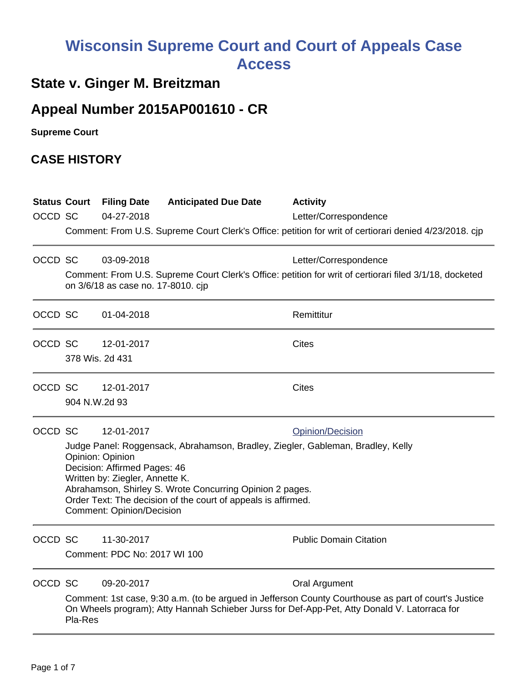# **Wisconsin Supreme Court and Court of Appeals Case Access**

## **State v. Ginger M. Breitzman**

## **Appeal Number 2015AP001610 - CR**

**Supreme Court** 

#### **CASE HISTORY**

| OCCD SC | <b>Status Court</b>                                                                                                                                                                                                                                                                                                                                                       | <b>Filing Date</b><br>04-27-2018           | <b>Anticipated Due Date</b>        | <b>Activity</b><br>Letter/Correspondence<br>Comment: From U.S. Supreme Court Clerk's Office: petition for writ of certiorari denied 4/23/2018. cjp                                                                           |
|---------|---------------------------------------------------------------------------------------------------------------------------------------------------------------------------------------------------------------------------------------------------------------------------------------------------------------------------------------------------------------------------|--------------------------------------------|------------------------------------|------------------------------------------------------------------------------------------------------------------------------------------------------------------------------------------------------------------------------|
| OCCD SC |                                                                                                                                                                                                                                                                                                                                                                           | 03-09-2018                                 | on 3/6/18 as case no. 17-8010. cjp | Letter/Correspondence<br>Comment: From U.S. Supreme Court Clerk's Office: petition for writ of certiorari filed 3/1/18, docketed                                                                                             |
| OCCD SC |                                                                                                                                                                                                                                                                                                                                                                           | 01-04-2018                                 |                                    | Remittitur                                                                                                                                                                                                                   |
| OCCD SC | 378 Wis. 2d 431                                                                                                                                                                                                                                                                                                                                                           | 12-01-2017                                 |                                    | <b>Cites</b>                                                                                                                                                                                                                 |
|         | OCCD SC<br>904 N.W.2d 93                                                                                                                                                                                                                                                                                                                                                  | 12-01-2017                                 |                                    | <b>Cites</b>                                                                                                                                                                                                                 |
| OCCD SC | 12-01-2017<br>Opinion/Decision<br>Judge Panel: Roggensack, Abrahamson, Bradley, Ziegler, Gableman, Bradley, Kelly<br>Opinion: Opinion<br>Decision: Affirmed Pages: 46<br>Written by: Ziegler, Annette K.<br>Abrahamson, Shirley S. Wrote Concurring Opinion 2 pages.<br>Order Text: The decision of the court of appeals is affirmed.<br><b>Comment: Opinion/Decision</b> |                                            |                                    |                                                                                                                                                                                                                              |
| OCCD SC |                                                                                                                                                                                                                                                                                                                                                                           | 11-30-2017<br>Comment: PDC No: 2017 WI 100 |                                    | <b>Public Domain Citation</b>                                                                                                                                                                                                |
| OCCD SC | Pla-Res                                                                                                                                                                                                                                                                                                                                                                   | 09-20-2017                                 |                                    | <b>Oral Argument</b><br>Comment: 1st case, 9:30 a.m. (to be argued in Jefferson County Courthouse as part of court's Justice<br>On Wheels program); Atty Hannah Schieber Jurss for Def-App-Pet, Atty Donald V. Latorraca for |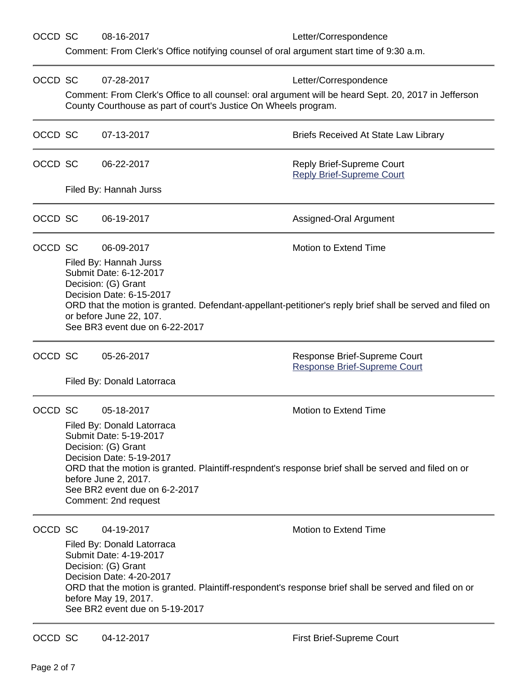OCCD SC 08-16-2017 Letter/Correspondence

Comment: From Clerk's Office notifying counsel of oral argument start time of 9:30 a.m.

| OCCD SC |                                                                                                                                                                                                                                                                                                                                         | 07-28-2017                                                                                                                                                                      | Letter/Correspondence                                                                                                                                                   |  |  |  |
|---------|-----------------------------------------------------------------------------------------------------------------------------------------------------------------------------------------------------------------------------------------------------------------------------------------------------------------------------------------|---------------------------------------------------------------------------------------------------------------------------------------------------------------------------------|-------------------------------------------------------------------------------------------------------------------------------------------------------------------------|--|--|--|
|         |                                                                                                                                                                                                                                                                                                                                         |                                                                                                                                                                                 | Comment: From Clerk's Office to all counsel: oral argument will be heard Sept. 20, 2017 in Jefferson<br>County Courthouse as part of court's Justice On Wheels program. |  |  |  |
| OCCD SC |                                                                                                                                                                                                                                                                                                                                         | 07-13-2017                                                                                                                                                                      | <b>Briefs Received At State Law Library</b>                                                                                                                             |  |  |  |
| OCCD SC |                                                                                                                                                                                                                                                                                                                                         | 06-22-2017                                                                                                                                                                      | Reply Brief-Supreme Court<br><b>Reply Brief-Supreme Court</b>                                                                                                           |  |  |  |
|         |                                                                                                                                                                                                                                                                                                                                         | Filed By: Hannah Jurss                                                                                                                                                          |                                                                                                                                                                         |  |  |  |
| OCCD SC |                                                                                                                                                                                                                                                                                                                                         | 06-19-2017                                                                                                                                                                      | Assigned-Oral Argument                                                                                                                                                  |  |  |  |
| OCCD SC | Motion to Extend Time<br>06-09-2017<br>Filed By: Hannah Jurss<br>Submit Date: 6-12-2017<br>Decision: (G) Grant<br>Decision Date: 6-15-2017<br>ORD that the motion is granted. Defendant-appellant-petitioner's reply brief shall be served and filed on<br>or before June 22, 107.<br>See BR3 event due on 6-22-2017                    |                                                                                                                                                                                 |                                                                                                                                                                         |  |  |  |
| OCCD SC |                                                                                                                                                                                                                                                                                                                                         | 05-26-2017<br>Filed By: Donald Latorraca                                                                                                                                        | Response Brief-Supreme Court<br><b>Response Brief-Supreme Court</b>                                                                                                     |  |  |  |
| OCCD SC | Motion to Extend Time<br>05-18-2017<br>Filed By: Donald Latorraca<br>Submit Date: 5-19-2017<br>Decision: (G) Grant<br>Decision Date: 5-19-2017<br>ORD that the motion is granted. Plaintiff-respndent's response brief shall be served and filed on or<br>before June 2, 2017.<br>See BR2 event due on 6-2-2017<br>Comment: 2nd request |                                                                                                                                                                                 |                                                                                                                                                                         |  |  |  |
| OCCD SC |                                                                                                                                                                                                                                                                                                                                         | 04-19-2017<br>Filed By: Donald Latorraca<br>Submit Date: 4-19-2017<br>Decision: (G) Grant<br>Decision Date: 4-20-2017<br>before May 19, 2017.<br>See BR2 event due on 5-19-2017 | <b>Motion to Extend Time</b><br>ORD that the motion is granted. Plaintiff-respondent's response brief shall be served and filed on or                                   |  |  |  |
| OCCD SC |                                                                                                                                                                                                                                                                                                                                         | 04-12-2017                                                                                                                                                                      | First Brief-Supreme Court                                                                                                                                               |  |  |  |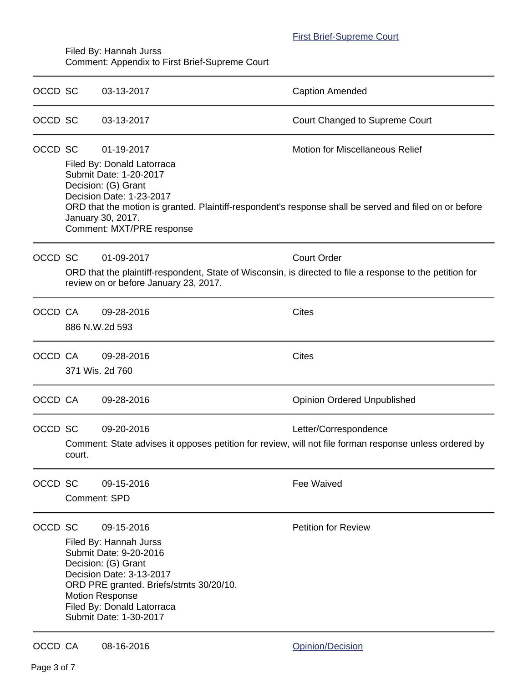#### [First Brief-Supreme Court](https://acefiling.wicourts.gov/document/eFiled/2015AP001610/188920)

Filed By: Hannah Jurss Comment: Appendix to First Brief-Supreme Court

| OCCD SC |                     | 03-13-2017                                                                                                                                                                                                                                     | <b>Caption Amended</b>                                                                                                                           |
|---------|---------------------|------------------------------------------------------------------------------------------------------------------------------------------------------------------------------------------------------------------------------------------------|--------------------------------------------------------------------------------------------------------------------------------------------------|
| OCCD SC |                     | 03-13-2017                                                                                                                                                                                                                                     | <b>Court Changed to Supreme Court</b>                                                                                                            |
| OCCD SC |                     | 01-19-2017<br>Filed By: Donald Latorraca<br>Submit Date: 1-20-2017<br>Decision: (G) Grant<br>Decision Date: 1-23-2017<br>January 30, 2017.<br>Comment: MXT/PRE response                                                                        | <b>Motion for Miscellaneous Relief</b><br>ORD that the motion is granted. Plaintiff-respondent's response shall be served and filed on or before |
| OCCD SC |                     | 01-09-2017<br>ORD that the plaintiff-respondent, State of Wisconsin, is directed to file a response to the petition for<br>review on or before January 23, 2017.                                                                               | <b>Court Order</b>                                                                                                                               |
| OCCD CA |                     | 09-28-2016<br>886 N.W.2d 593                                                                                                                                                                                                                   | <b>Cites</b>                                                                                                                                     |
| OCCD CA |                     | 09-28-2016<br>371 Wis. 2d 760                                                                                                                                                                                                                  | <b>Cites</b>                                                                                                                                     |
| OCCD CA |                     | 09-28-2016                                                                                                                                                                                                                                     | <b>Opinion Ordered Unpublished</b>                                                                                                               |
| OCCD SC | court.              | 09-20-2016                                                                                                                                                                                                                                     | Letter/Correspondence<br>Comment: State advises it opposes petition for review, will not file forman response unless ordered by                  |
| OCCD SC | <b>Comment: SPD</b> | 09-15-2016                                                                                                                                                                                                                                     | Fee Waived                                                                                                                                       |
| OCCD SC |                     | 09-15-2016<br>Filed By: Hannah Jurss<br>Submit Date: 9-20-2016<br>Decision: (G) Grant<br>Decision Date: 3-13-2017<br>ORD PRE granted. Briefs/stmts 30/20/10.<br><b>Motion Response</b><br>Filed By: Donald Latorraca<br>Submit Date: 1-30-2017 | <b>Petition for Review</b>                                                                                                                       |
| OCCD CA |                     | 08-16-2016                                                                                                                                                                                                                                     | Opinion/Decision                                                                                                                                 |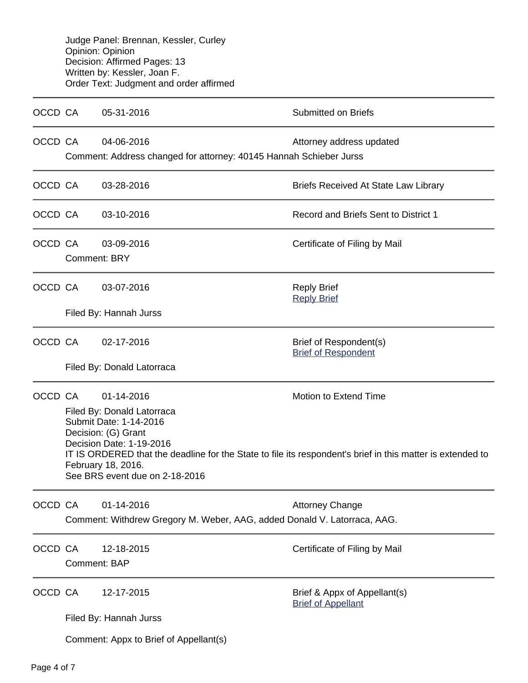Judge Panel: Brennan, Kessler, Curley Opinion: Opinion Decision: Affirmed Pages: 13 Written by: Kessler, Joan F. Order Text: Judgment and order affirmed

| OCCD CA |                                                                                                                                                                                                                                                                                                                      | 05-31-2016                                                                             | <b>Submitted on Briefs</b>                                |  |  |
|---------|----------------------------------------------------------------------------------------------------------------------------------------------------------------------------------------------------------------------------------------------------------------------------------------------------------------------|----------------------------------------------------------------------------------------|-----------------------------------------------------------|--|--|
| OCCD CA |                                                                                                                                                                                                                                                                                                                      | 04-06-2016<br>Comment: Address changed for attorney: 40145 Hannah Schieber Jurss       | Attorney address updated                                  |  |  |
| OCCD CA |                                                                                                                                                                                                                                                                                                                      | 03-28-2016                                                                             | <b>Briefs Received At State Law Library</b>               |  |  |
| OCCD CA |                                                                                                                                                                                                                                                                                                                      | 03-10-2016                                                                             | Record and Briefs Sent to District 1                      |  |  |
| OCCD CA | <b>Comment: BRY</b>                                                                                                                                                                                                                                                                                                  | 03-09-2016                                                                             | Certificate of Filing by Mail                             |  |  |
| OCCD CA |                                                                                                                                                                                                                                                                                                                      | 03-07-2016<br>Filed By: Hannah Jurss                                                   | <b>Reply Brief</b><br><b>Reply Brief</b>                  |  |  |
| OCCD CA |                                                                                                                                                                                                                                                                                                                      | 02-17-2016                                                                             | Brief of Respondent(s)<br><b>Brief of Respondent</b>      |  |  |
|         |                                                                                                                                                                                                                                                                                                                      | Filed By: Donald Latorraca                                                             |                                                           |  |  |
| OCCD CA | Motion to Extend Time<br>01-14-2016<br>Filed By: Donald Latorraca<br>Submit Date: 1-14-2016<br>Decision: (G) Grant<br>Decision Date: 1-19-2016<br>IT IS ORDERED that the deadline for the State to file its respondent's brief in this matter is extended to<br>February 18, 2016.<br>See BRS event due on 2-18-2016 |                                                                                        |                                                           |  |  |
| OCCD CA |                                                                                                                                                                                                                                                                                                                      | 01-14-2016<br>Comment: Withdrew Gregory M. Weber, AAG, added Donald V. Latorraca, AAG. | <b>Attorney Change</b>                                    |  |  |
| OCCD CA | <b>Comment: BAP</b>                                                                                                                                                                                                                                                                                                  | 12-18-2015                                                                             | Certificate of Filing by Mail                             |  |  |
| OCCD CA |                                                                                                                                                                                                                                                                                                                      | 12-17-2015<br>Filed By: Hannah Jurss<br>Comment: Appx to Brief of Appellant(s)         | Brief & Appx of Appellant(s)<br><b>Brief of Appellant</b> |  |  |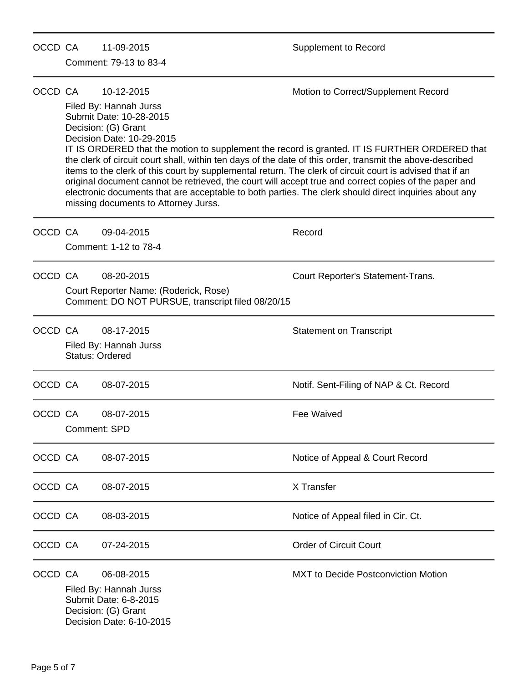| OCCD CA |              | 11-09-2015<br>Comment: 79-13 to 83-4                                                                                                                                                                                                                                                                                                                                                  | Supplement to Record                                                                                                                                                                                                                                                                                                                                   |
|---------|--------------|---------------------------------------------------------------------------------------------------------------------------------------------------------------------------------------------------------------------------------------------------------------------------------------------------------------------------------------------------------------------------------------|--------------------------------------------------------------------------------------------------------------------------------------------------------------------------------------------------------------------------------------------------------------------------------------------------------------------------------------------------------|
| OCCD CA |              | 10-12-2015<br>Filed By: Hannah Jurss<br>Submit Date: 10-28-2015<br>Decision: (G) Grant<br>Decision Date: 10-29-2015<br>the clerk of circuit court shall, within ten days of the date of this order, transmit the above-described<br>items to the clerk of this court by supplemental return. The clerk of circuit court is advised that if an<br>missing documents to Attorney Jurss. | Motion to Correct/Supplement Record<br>IT IS ORDERED that the motion to supplement the record is granted. IT IS FURTHER ORDERED that<br>original document cannot be retrieved, the court will accept true and correct copies of the paper and<br>electronic documents that are acceptable to both parties. The clerk should direct inquiries about any |
| OCCD CA |              | 09-04-2015<br>Comment: 1-12 to 78-4                                                                                                                                                                                                                                                                                                                                                   | Record                                                                                                                                                                                                                                                                                                                                                 |
| OCCD CA |              | 08-20-2015<br>Court Reporter Name: (Roderick, Rose)<br>Comment: DO NOT PURSUE, transcript filed 08/20/15                                                                                                                                                                                                                                                                              | Court Reporter's Statement-Trans.                                                                                                                                                                                                                                                                                                                      |
| OCCD CA |              | 08-17-2015<br>Filed By: Hannah Jurss<br><b>Status: Ordered</b>                                                                                                                                                                                                                                                                                                                        | <b>Statement on Transcript</b>                                                                                                                                                                                                                                                                                                                         |
| OCCD CA |              | 08-07-2015                                                                                                                                                                                                                                                                                                                                                                            | Notif. Sent-Filing of NAP & Ct. Record                                                                                                                                                                                                                                                                                                                 |
| OCCD CA | Comment: SPD | 08-07-2015                                                                                                                                                                                                                                                                                                                                                                            | <b>Fee Waived</b>                                                                                                                                                                                                                                                                                                                                      |
| OCCD CA |              | 08-07-2015                                                                                                                                                                                                                                                                                                                                                                            | Notice of Appeal & Court Record                                                                                                                                                                                                                                                                                                                        |
| OCCD CA |              | 08-07-2015                                                                                                                                                                                                                                                                                                                                                                            | X Transfer                                                                                                                                                                                                                                                                                                                                             |
| OCCD CA |              | 08-03-2015                                                                                                                                                                                                                                                                                                                                                                            | Notice of Appeal filed in Cir. Ct.                                                                                                                                                                                                                                                                                                                     |
| OCCD CA |              | 07-24-2015                                                                                                                                                                                                                                                                                                                                                                            | <b>Order of Circuit Court</b>                                                                                                                                                                                                                                                                                                                          |
| OCCD CA |              | 06-08-2015<br>Filed By: Hannah Jurss<br>Submit Date: 6-8-2015<br>Decision: (G) Grant<br>Decision Date: 6-10-2015                                                                                                                                                                                                                                                                      | <b>MXT</b> to Decide Postconviction Motion                                                                                                                                                                                                                                                                                                             |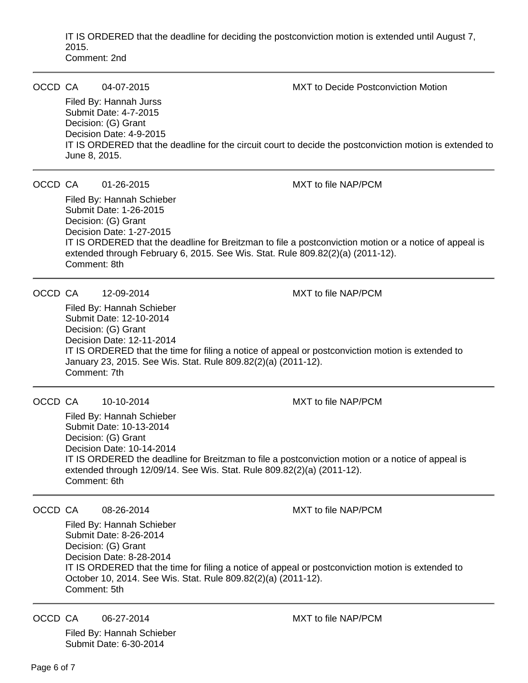IT IS ORDERED that the deadline for deciding the postconviction motion is extended until August 7, 2015. Comment: 2nd

| OCCD CA | June 8, 2015. | 04-07-2015<br>Filed By: Hannah Jurss<br>Submit Date: 4-7-2015<br>Decision: (G) Grant<br>Decision Date: 4-9-2015        | <b>MXT</b> to Decide Postconviction Motion<br>IT IS ORDERED that the deadline for the circuit court to decide the postconviction motion is extended to                                           |
|---------|---------------|------------------------------------------------------------------------------------------------------------------------|--------------------------------------------------------------------------------------------------------------------------------------------------------------------------------------------------|
| OCCD CA |               | 01-26-2015                                                                                                             | <b>MXT</b> to file NAP/PCM                                                                                                                                                                       |
|         | Comment: 8th  | Filed By: Hannah Schieber<br>Submit Date: 1-26-2015<br>Decision: (G) Grant<br>Decision Date: 1-27-2015                 | IT IS ORDERED that the deadline for Breitzman to file a postconviction motion or a notice of appeal is<br>extended through February 6, 2015. See Wis. Stat. Rule 809.82(2)(a) (2011-12).         |
| OCCD CA | Comment: 7th  | 12-09-2014<br>Filed By: Hannah Schieber<br>Submit Date: 12-10-2014<br>Decision: (G) Grant<br>Decision Date: 12-11-2014 | <b>MXT</b> to file NAP/PCM<br>IT IS ORDERED that the time for filing a notice of appeal or postconviction motion is extended to<br>January 23, 2015. See Wis. Stat. Rule 809.82(2)(a) (2011-12). |
| OCCD CA |               | 10-10-2014                                                                                                             | MXT to file NAP/PCM                                                                                                                                                                              |
|         | Comment: 6th  | Filed By: Hannah Schieber<br>Submit Date: 10-13-2014<br>Decision: (G) Grant<br>Decision Date: 10-14-2014               | IT IS ORDERED the deadline for Breitzman to file a postconviction motion or a notice of appeal is<br>extended through 12/09/14. See Wis. Stat. Rule 809.82(2)(a) (2011-12).                      |
| OCCD CA |               | 08-26-2014                                                                                                             | MXT to file NAP/PCM                                                                                                                                                                              |
|         | Comment: 5th  | Filed By: Hannah Schieber<br>Submit Date: 8-26-2014<br>Decision: (G) Grant<br>Decision Date: 8-28-2014                 | IT IS ORDERED that the time for filing a notice of appeal or postconviction motion is extended to<br>October 10, 2014. See Wis. Stat. Rule 809.82(2)(a) (2011-12).                               |

OCCD CA 06-27-2014 MXT to file NAP/PCM

Filed By: Hannah Schieber Submit Date: 6-30-2014